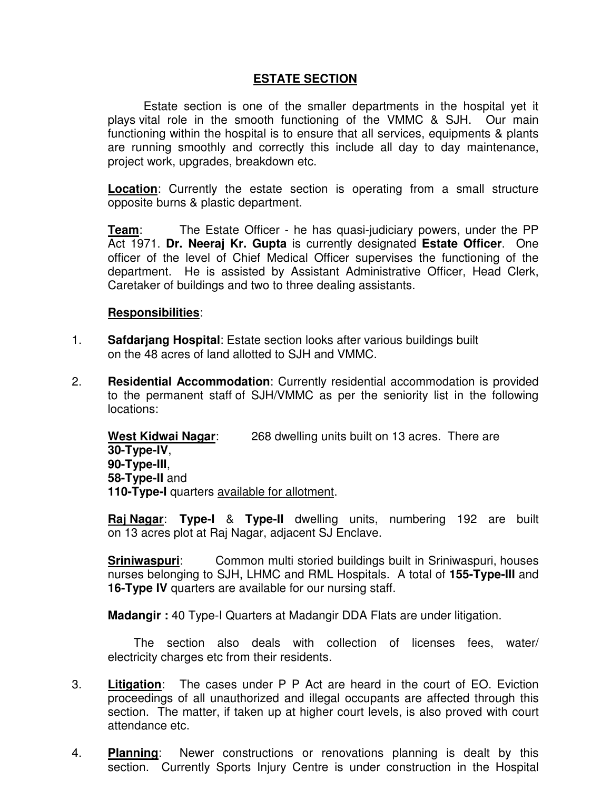## **ESTATE SECTION**

Estate section is one of the smaller departments in the hospital yet it plays vital role in the smooth functioning of the VMMC & SJH. Our main functioning within the hospital is to ensure that all services, equipments & plants are running smoothly and correctly this include all day to day maintenance, project work, upgrades, breakdown etc.

**Location**: Currently the estate section is operating from a small structure opposite burns & plastic department.

**Team:** The Estate Officer - he has quasi-judiciary powers, under the PP Act 1971. **Dr. Neeraj Kr. Gupta** is currently designated **Estate Officer**. One officer of the level of Chief Medical Officer supervises the functioning of the department. He is assisted by Assistant Administrative Officer, Head Clerk, Caretaker of buildings and two to three dealing assistants.

## **Responsibilities**:

- 1. **Safdarjang Hospital**: Estate section looks after various buildings built on the 48 acres of land allotted to SJH and VMMC.
- 2. **Residential Accommodation**: Currently residential accommodation is provided to the permanent staff of SJH/VMMC as per the seniority list in the following locations:

**West Kidwai Nagar**: 268 dwelling units built on 13 acres. There are **30-Type-IV**, **90-Type-III**, **58-Type-II** and **110-Type-I** quarters available for allotment.

**Raj Nagar**: **Type-I** & **Type-II** dwelling units, numbering 192 are built on 13 acres plot at Raj Nagar, adjacent SJ Enclave.

**Sriniwaspuri:** Common multi storied buildings built in Sriniwaspuri, houses nurses belonging to SJH, LHMC and RML Hospitals. A total of **155-Type-III** and **16-Type IV** quarters are available for our nursing staff.

**Madangir :** 40 Type-I Quarters at Madangir DDA Flats are under litigation.

 The section also deals with collection of licenses fees, water/ electricity charges etc from their residents.

- 3. **Litigation**: The cases under P P Act are heard in the court of EO. Eviction proceedings of all unauthorized and illegal occupants are affected through this section. The matter, if taken up at higher court levels, is also proved with court attendance etc.
- 4. **Planning**: Newer constructions or renovations planning is dealt by this section. Currently Sports Injury Centre is under construction in the Hospital